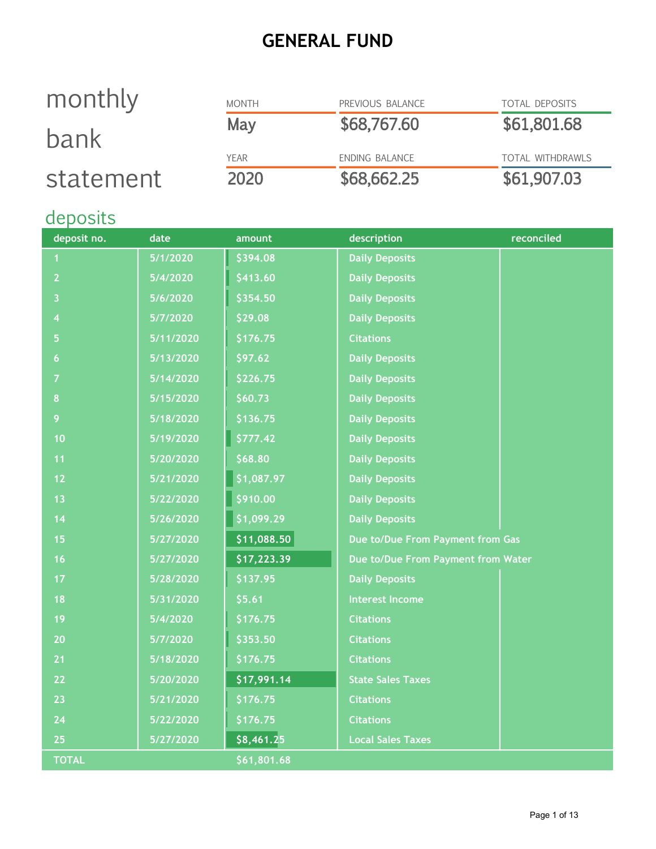### GENERAL FUND

# monthly bank statement

| <b>MONTH</b> | PREVIOUS BALANCE | <b>TOTAL DEPOSITS</b> |
|--------------|------------------|-----------------------|
| May          | \$68,767.60      | \$61,801.68           |
| YFAR         | ENDING BALANCE   | TOTAL WITHDRAWLS      |
| 2020         | \$68,662.25      | \$61,907.03           |

# deposits

| deposit no.    | date      | amount      | description                        | reconciled |
|----------------|-----------|-------------|------------------------------------|------------|
| 1              | 5/1/2020  | \$394.08    | <b>Daily Deposits</b>              |            |
| $\overline{2}$ | 5/4/2020  | \$413.60    | <b>Daily Deposits</b>              |            |
| 3              | 5/6/2020  | \$354.50    | <b>Daily Deposits</b>              |            |
| 4              | 5/7/2020  | \$29.08     | <b>Daily Deposits</b>              |            |
| 5              | 5/11/2020 | \$176.75    | <b>Citations</b>                   |            |
| $\overline{6}$ | 5/13/2020 | \$97.62     | <b>Daily Deposits</b>              |            |
| $\overline{7}$ | 5/14/2020 | \$226.75    | <b>Daily Deposits</b>              |            |
| 8              | 5/15/2020 | \$60.73     | <b>Daily Deposits</b>              |            |
| 9              | 5/18/2020 | \$136.75    | <b>Daily Deposits</b>              |            |
| 10             | 5/19/2020 | \$777.42    | <b>Daily Deposits</b>              |            |
| 11             | 5/20/2020 | \$68.80     | <b>Daily Deposits</b>              |            |
| 12             | 5/21/2020 | \$1,087.97  | <b>Daily Deposits</b>              |            |
| 13             | 5/22/2020 | \$910.00    | <b>Daily Deposits</b>              |            |
| 14             | 5/26/2020 | \$1,099.29  | <b>Daily Deposits</b>              |            |
| 15             | 5/27/2020 | \$11,088.50 | Due to/Due From Payment from Gas   |            |
| 16             | 5/27/2020 | \$17,223.39 | Due to/Due From Payment from Water |            |
| 17             | 5/28/2020 | \$137.95    | <b>Daily Deposits</b>              |            |
| 18             | 5/31/2020 | \$5.61      | <b>Interest Income</b>             |            |
| 19             | 5/4/2020  | \$176.75    | <b>Citations</b>                   |            |
| 20             | 5/7/2020  | \$353.50    | <b>Citations</b>                   |            |
| 21             | 5/18/2020 | \$176.75    | <b>Citations</b>                   |            |
| 22             | 5/20/2020 | \$17,991.14 | <b>State Sales Taxes</b>           |            |
| 23             | 5/21/2020 | \$176.75    | <b>Citations</b>                   |            |
| 24             | 5/22/2020 | \$176.75    | <b>Citations</b>                   |            |
| 25             | 5/27/2020 | \$8,461.25  | <b>Local Sales Taxes</b>           |            |
| <b>TOTAL</b>   |           | \$61,801.68 |                                    |            |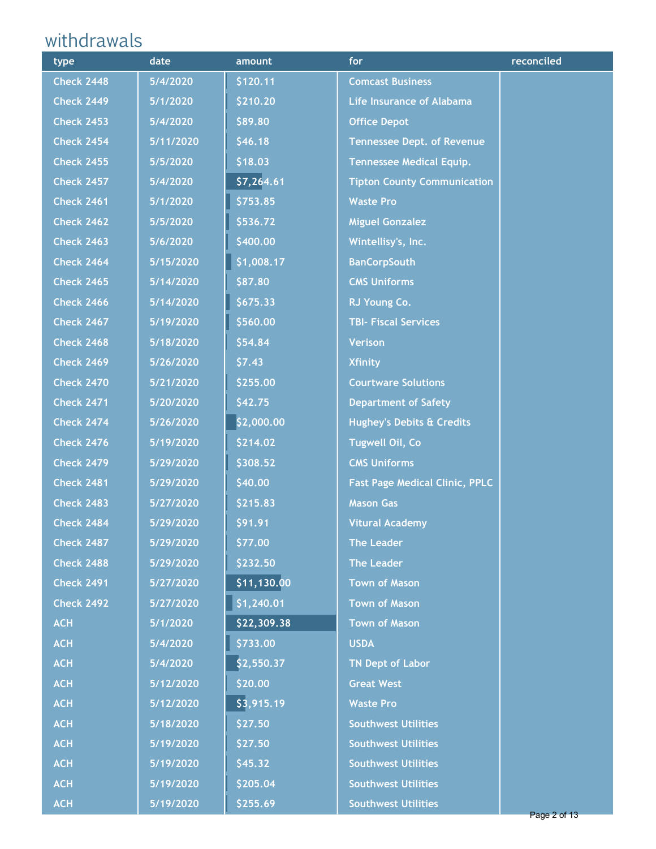# withdrawals

| type              | date      | amount                   | for                                   | reconciled |
|-------------------|-----------|--------------------------|---------------------------------------|------------|
| <b>Check 2448</b> | 5/4/2020  | \$120.11                 | <b>Comcast Business</b>               |            |
| <b>Check 2449</b> | 5/1/2020  | \$210.20                 | <b>Life Insurance of Alabama</b>      |            |
| <b>Check 2453</b> | 5/4/2020  | \$89.80                  | <b>Office Depot</b>                   |            |
| <b>Check 2454</b> | 5/11/2020 | \$46.18                  | <b>Tennessee Dept. of Revenue</b>     |            |
| <b>Check 2455</b> | 5/5/2020  | \$18.03                  | <b>Tennessee Medical Equip.</b>       |            |
| <b>Check 2457</b> | 5/4/2020  | \$7,264.61               | <b>Tipton County Communication</b>    |            |
| <b>Check 2461</b> | 5/1/2020  | \$753.85                 | <b>Waste Pro</b>                      |            |
| <b>Check 2462</b> | 5/5/2020  | \$536.72                 | <b>Miguel Gonzalez</b>                |            |
| <b>Check 2463</b> | 5/6/2020  | \$400.00                 | Wintellisy's, Inc.                    |            |
| <b>Check 2464</b> | 5/15/2020 | \$1,008.17               | <b>BanCorpSouth</b>                   |            |
| <b>Check 2465</b> | 5/14/2020 | \$87.80                  | <b>CMS Uniforms</b>                   |            |
| <b>Check 2466</b> | 5/14/2020 | \$675.33                 | RJ Young Co.                          |            |
| <b>Check 2467</b> | 5/19/2020 | \$560.00                 | <b>TBI- Fiscal Services</b>           |            |
| <b>Check 2468</b> | 5/18/2020 | \$54.84                  | <b>Verison</b>                        |            |
| <b>Check 2469</b> | 5/26/2020 | \$7.43                   | <b>Xfinity</b>                        |            |
| <b>Check 2470</b> | 5/21/2020 | \$255.00                 | <b>Courtware Solutions</b>            |            |
| <b>Check 2471</b> | 5/20/2020 | \$42.75                  | <b>Department of Safety</b>           |            |
| <b>Check 2474</b> | 5/26/2020 | \$2,000.00               | <b>Hughey's Debits &amp; Credits</b>  |            |
| <b>Check 2476</b> | 5/19/2020 | \$214.02                 | <b>Tugwell Oil, Co</b>                |            |
| <b>Check 2479</b> | 5/29/2020 | \$308.52                 | <b>CMS Uniforms</b>                   |            |
| <b>Check 2481</b> | 5/29/2020 | \$40.00                  | <b>Fast Page Medical Clinic, PPLC</b> |            |
| <b>Check 2483</b> | 5/27/2020 | \$215.83                 | <b>Mason Gas</b>                      |            |
| <b>Check 2484</b> | 5/29/2020 | \$91.91                  | <b>Vitural Academy</b>                |            |
| <b>Check 2487</b> | 5/29/2020 | \$77.00                  | <b>The Leader</b>                     |            |
| <b>Check 2488</b> | 5/29/2020 | \$232.50                 | <b>The Leader</b>                     |            |
| <b>Check 2491</b> | 5/27/2020 | $\overline{511, 130.00}$ | <b>Town of Mason</b>                  |            |
| <b>Check 2492</b> | 5/27/2020 | \$1,240.01               | <b>Town of Mason</b>                  |            |
| <b>ACH</b>        | 5/1/2020  | \$22,309.38              | <b>Town of Mason</b>                  |            |
| <b>ACH</b>        | 5/4/2020  | \$733.00                 | <b>USDA</b>                           |            |
| <b>ACH</b>        | 5/4/2020  | \$2,550.37               | <b>TN Dept of Labor</b>               |            |
| <b>ACH</b>        | 5/12/2020 | \$20.00                  | <b>Great West</b>                     |            |
| <b>ACH</b>        | 5/12/2020 | \$3,915.19               | <b>Waste Pro</b>                      |            |
| <b>ACH</b>        | 5/18/2020 | \$27.50                  | <b>Southwest Utilities</b>            |            |
| <b>ACH</b>        | 5/19/2020 | \$27.50                  | <b>Southwest Utilities</b>            |            |
| <b>ACH</b>        | 5/19/2020 | \$45.32                  | <b>Southwest Utilities</b>            |            |
| <b>ACH</b>        | 5/19/2020 | \$205.04                 | <b>Southwest Utilities</b>            |            |
| <b>ACH</b>        | 5/19/2020 | \$255.69                 | <b>Southwest Utilities</b>            |            |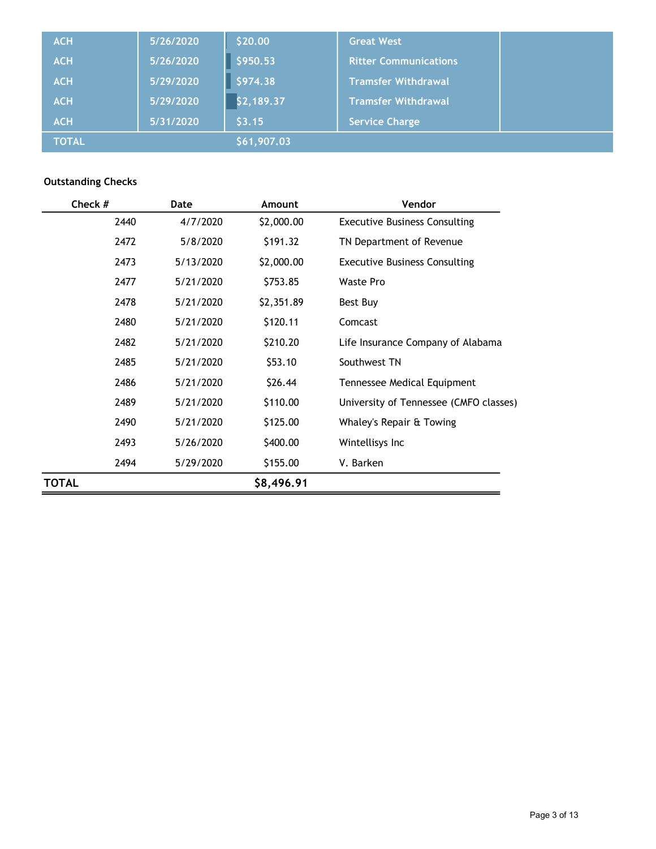| <b>ACH</b>   | 5/26/2020 | \$20.00     | <b>Great West</b>            |  |
|--------------|-----------|-------------|------------------------------|--|
| <b>ACH</b>   | 5/26/2020 | \$950.53    | <b>Ritter Communications</b> |  |
| <b>ACH</b>   | 5/29/2020 | \$974.38    | <b>Tramsfer Withdrawal</b>   |  |
| <b>ACH</b>   | 5/29/2020 | \$2,189.37  | Tramsfer Withdrawal          |  |
| <b>ACH</b>   | 5/31/2020 | \$3.15      | <b>Service Charge</b>        |  |
| <b>TOTAL</b> |           | \$61,907.03 |                              |  |

#### Outstanding Checks

| Check #      |      | Date      | Amount     | Vendor                                 |
|--------------|------|-----------|------------|----------------------------------------|
|              | 2440 | 4/7/2020  | \$2,000.00 | <b>Executive Business Consulting</b>   |
|              | 2472 | 5/8/2020  | \$191.32   | TN Department of Revenue               |
|              | 2473 | 5/13/2020 | \$2,000.00 | <b>Executive Business Consulting</b>   |
|              | 2477 | 5/21/2020 | \$753.85   | <b>Waste Pro</b>                       |
|              | 2478 | 5/21/2020 | \$2,351.89 | Best Buy                               |
|              | 2480 | 5/21/2020 | \$120.11   | Comcast                                |
|              | 2482 | 5/21/2020 | \$210.20   | Life Insurance Company of Alabama      |
|              | 2485 | 5/21/2020 | \$53.10    | Southwest TN                           |
|              | 2486 | 5/21/2020 | \$26.44    | Tennessee Medical Equipment            |
|              | 2489 | 5/21/2020 | \$110.00   | University of Tennessee (CMFO classes) |
|              | 2490 | 5/21/2020 | \$125.00   | Whaley's Repair & Towing               |
|              | 2493 | 5/26/2020 | \$400.00   | Wintellisys Inc                        |
|              | 2494 | 5/29/2020 | \$155.00   | V. Barken                              |
| <b>TOTAL</b> |      |           | \$8,496.91 |                                        |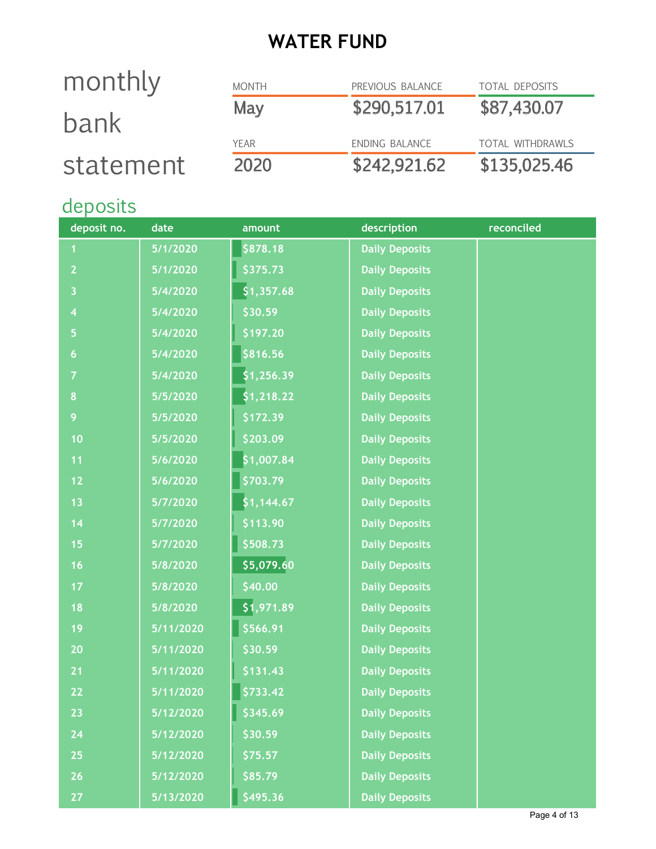# WATER FUND

# monthly bank statement

| 2020         | \$242,921.62     | \$135,025.46            |
|--------------|------------------|-------------------------|
| YFAR         | ENDING BALANCE   | <b>TOTAL WITHDRAWLS</b> |
| May          | \$290,517.01     | \$87,430.07             |
| <b>MONTH</b> | PREVIOUS BALANCE | <b>TOTAL DEPOSITS</b>   |

# deposits

| deposit no.             | date      | amount     | description           | reconciled |
|-------------------------|-----------|------------|-----------------------|------------|
|                         | 5/1/2020  | \$878.18   | <b>Daily Deposits</b> |            |
| $\overline{2}$          | 5/1/2020  | \$375.73   | <b>Daily Deposits</b> |            |
| $\overline{\mathbf{3}}$ | 5/4/2020  | \$1,357.68 | <b>Daily Deposits</b> |            |
| $\overline{\mathbf{4}}$ | 5/4/2020  | \$30.59    | <b>Daily Deposits</b> |            |
| 5                       | 5/4/2020  | \$197.20   | <b>Daily Deposits</b> |            |
| $\boldsymbol{6}$        | 5/4/2020  | \$816.56   | <b>Daily Deposits</b> |            |
| 7                       | 5/4/2020  | \$1,256.39 | <b>Daily Deposits</b> |            |
| 8                       | 5/5/2020  | \$1,218.22 | <b>Daily Deposits</b> |            |
| 9                       | 5/5/2020  | \$172.39   | <b>Daily Deposits</b> |            |
| 10                      | 5/5/2020  | \$203.09   | <b>Daily Deposits</b> |            |
| 11                      | 5/6/2020  | \$1,007.84 | <b>Daily Deposits</b> |            |
| $12$                    | 5/6/2020  | \$703.79   | <b>Daily Deposits</b> |            |
| 13                      | 5/7/2020  | \$1,144.67 | <b>Daily Deposits</b> |            |
| 14                      | 5/7/2020  | \$113.90   | <b>Daily Deposits</b> |            |
| 15                      | 5/7/2020  | \$508.73   | <b>Daily Deposits</b> |            |
| 16                      | 5/8/2020  | 55,079.60  | <b>Daily Deposits</b> |            |
| 17                      | 5/8/2020  | \$40.00    | <b>Daily Deposits</b> |            |
| 18                      | 5/8/2020  | \$1,971.89 | <b>Daily Deposits</b> |            |
| 19                      | 5/11/2020 | \$566.91   | <b>Daily Deposits</b> |            |
| 20                      | 5/11/2020 | \$30.59    | <b>Daily Deposits</b> |            |
| 21                      | 5/11/2020 | \$131.43   | <b>Daily Deposits</b> |            |
| 22                      | 5/11/2020 | \$733.42   | <b>Daily Deposits</b> |            |
| 23                      | 5/12/2020 | \$345.69   | <b>Daily Deposits</b> |            |
| 24                      | 5/12/2020 | \$30.59    | <b>Daily Deposits</b> |            |
| 25                      | 5/12/2020 | \$75.57    | <b>Daily Deposits</b> |            |
| 26                      | 5/12/2020 | \$85.79    | <b>Daily Deposits</b> |            |
| 27                      | 5/13/2020 | \$495.36   | <b>Daily Deposits</b> |            |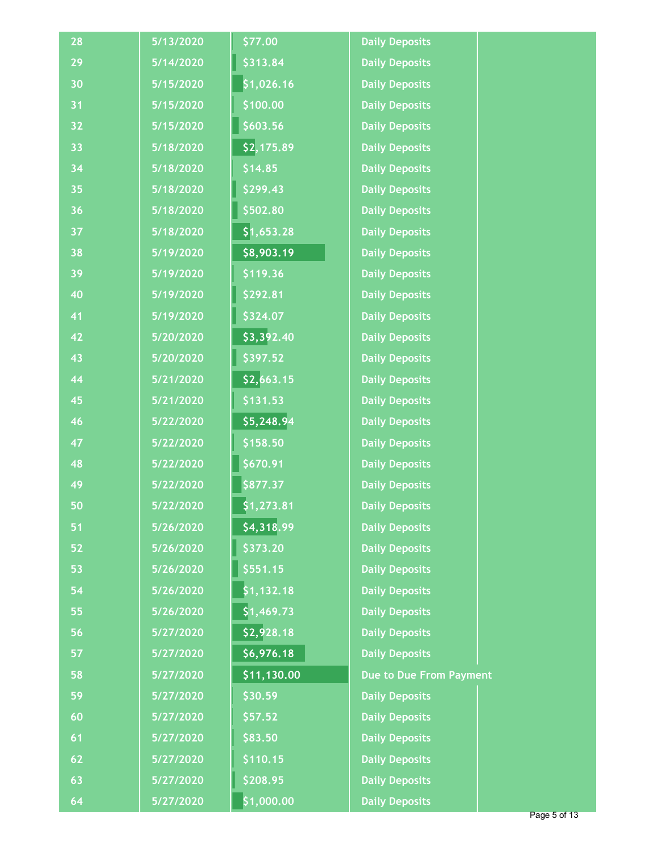| 28 | 5/13/2020 | \$77.00     | <b>Daily Deposits</b>   |  |
|----|-----------|-------------|-------------------------|--|
| 29 | 5/14/2020 | \$313.84    | <b>Daily Deposits</b>   |  |
| 30 | 5/15/2020 | \$1,026.16  | <b>Daily Deposits</b>   |  |
| 31 | 5/15/2020 | \$100.00    | <b>Daily Deposits</b>   |  |
| 32 | 5/15/2020 | \$603.56    | <b>Daily Deposits</b>   |  |
| 33 | 5/18/2020 | \$2,175.89  | <b>Daily Deposits</b>   |  |
| 34 | 5/18/2020 | \$14.85     | <b>Daily Deposits</b>   |  |
| 35 | 5/18/2020 | \$299.43    | <b>Daily Deposits</b>   |  |
| 36 | 5/18/2020 | \$502.80    | <b>Daily Deposits</b>   |  |
| 37 | 5/18/2020 | \$1,653.28  | <b>Daily Deposits</b>   |  |
| 38 | 5/19/2020 | \$8,903.19  | <b>Daily Deposits</b>   |  |
| 39 | 5/19/2020 | \$119.36    | <b>Daily Deposits</b>   |  |
| 40 | 5/19/2020 | \$292.81    | <b>Daily Deposits</b>   |  |
| 41 | 5/19/2020 | \$324.07    | <b>Daily Deposits</b>   |  |
| 42 | 5/20/2020 | \$3,392.40  | <b>Daily Deposits</b>   |  |
| 43 | 5/20/2020 | \$397.52    | <b>Daily Deposits</b>   |  |
| 44 | 5/21/2020 | \$2,663.15  | <b>Daily Deposits</b>   |  |
| 45 | 5/21/2020 | \$131.53    | <b>Daily Deposits</b>   |  |
| 46 | 5/22/2020 | \$5,248.94  | <b>Daily Deposits</b>   |  |
| 47 | 5/22/2020 | \$158.50    | <b>Daily Deposits</b>   |  |
| 48 | 5/22/2020 | \$670.91    | <b>Daily Deposits</b>   |  |
| 49 | 5/22/2020 | \$877.37    | <b>Daily Deposits</b>   |  |
| 50 | 5/22/2020 | \$1,273.81  | <b>Daily Deposits</b>   |  |
| 51 | 5/26/2020 | \$4,318.99  | <b>Daily Deposits</b>   |  |
| 52 | 5/26/2020 | \$373.20    | <b>Daily Deposits</b>   |  |
| 53 | 5/26/2020 | \$551.15    | <b>Daily Deposits</b>   |  |
| 54 | 5/26/2020 | \$1,132.18  | <b>Daily Deposits</b>   |  |
| 55 | 5/26/2020 | \$1,469.73  | <b>Daily Deposits</b>   |  |
| 56 | 5/27/2020 | \$2,928.18  | <b>Daily Deposits</b>   |  |
| 57 | 5/27/2020 | \$6,976.18  | <b>Daily Deposits</b>   |  |
| 58 | 5/27/2020 | \$11,130.00 | Due to Due From Payment |  |
| 59 | 5/27/2020 | \$30.59     | <b>Daily Deposits</b>   |  |
| 60 | 5/27/2020 | 557.52      | <b>Daily Deposits</b>   |  |
| 61 | 5/27/2020 | \$83.50     | <b>Daily Deposits</b>   |  |
| 62 | 5/27/2020 | \$110.15    | <b>Daily Deposits</b>   |  |
| 63 | 5/27/2020 | \$208.95    | <b>Daily Deposits</b>   |  |
| 64 | 5/27/2020 | \$1,000.00  | <b>Daily Deposits</b>   |  |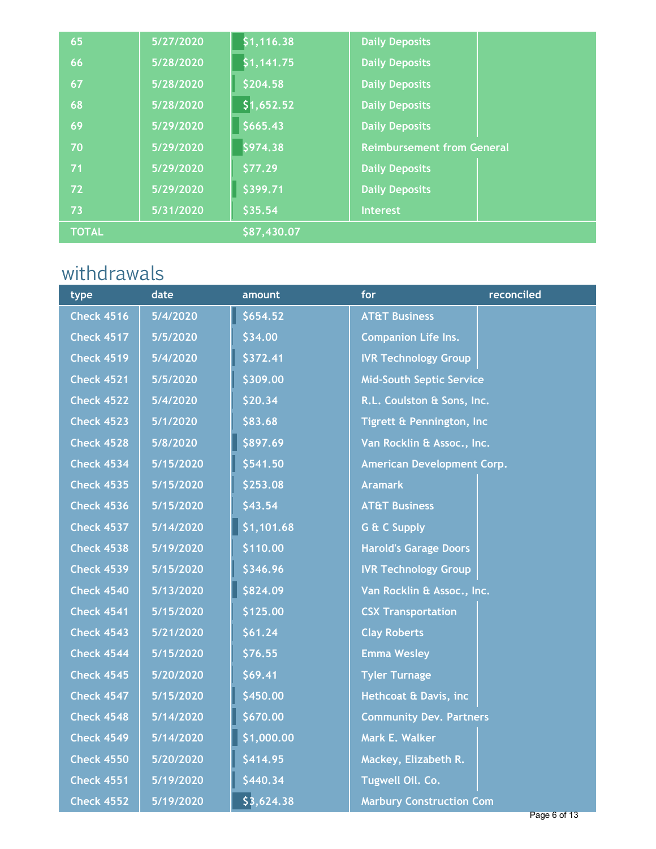| 65           | 5/27/2020 | \$1,116.38  | <b>Daily Deposits</b>             |
|--------------|-----------|-------------|-----------------------------------|
| 66           | 5/28/2020 | \$1,141.75  | <b>Daily Deposits</b>             |
| 67           | 5/28/2020 | \$204.58    | <b>Daily Deposits</b>             |
| 68           | 5/28/2020 | \$1,652.52  | <b>Daily Deposits</b>             |
| 69           | 5/29/2020 | \$665.43    | <b>Daily Deposits</b>             |
| 70           | 5/29/2020 | \$974.38    | <b>Reimbursement from General</b> |
| 71           | 5/29/2020 | \$77.29     | <b>Daily Deposits</b>             |
| 72           | 5/29/2020 | \$399.71    | <b>Daily Deposits</b>             |
| 73           | 5/31/2020 | \$35.54     | <b>Interest</b>                   |
| <b>TOTAL</b> |           | \$87,430.07 |                                   |

# withdrawals

| type              | date      | amount     | for                             | reconciled |
|-------------------|-----------|------------|---------------------------------|------------|
| <b>Check 4516</b> | 5/4/2020  | \$654.52   | <b>AT&amp;T Business</b>        |            |
| <b>Check 4517</b> | 5/5/2020  | \$34.00    | <b>Companion Life Ins.</b>      |            |
| <b>Check 4519</b> | 5/4/2020  | \$372.41   | <b>IVR Technology Group</b>     |            |
| <b>Check 4521</b> | 5/5/2020  | \$309.00   | <b>Mid-South Septic Service</b> |            |
| <b>Check 4522</b> | 5/4/2020  | \$20.34    | R.L. Coulston & Sons, Inc.      |            |
| <b>Check 4523</b> | 5/1/2020  | \$83.68    | Tigrett & Pennington, Inc.      |            |
| <b>Check 4528</b> | 5/8/2020  | \$897.69   | Van Rocklin & Assoc., Inc.      |            |
| <b>Check 4534</b> | 5/15/2020 | \$541.50   | American Development Corp.      |            |
| <b>Check 4535</b> | 5/15/2020 | \$253.08   | <b>Aramark</b>                  |            |
| <b>Check 4536</b> | 5/15/2020 | \$43.54    | <b>AT&amp;T Business</b>        |            |
| <b>Check 4537</b> | 5/14/2020 | \$1,101.68 | <b>G &amp; C Supply</b>         |            |
| <b>Check 4538</b> | 5/19/2020 | \$110.00   | <b>Harold's Garage Doors</b>    |            |
| <b>Check 4539</b> | 5/15/2020 | \$346.96   | <b>IVR Technology Group</b>     |            |
| <b>Check 4540</b> | 5/13/2020 | \$824.09   | Van Rocklin & Assoc., Inc.      |            |
| <b>Check 4541</b> | 5/15/2020 | \$125.00   | <b>CSX Transportation</b>       |            |
| <b>Check 4543</b> | 5/21/2020 | \$61.24    | <b>Clay Roberts</b>             |            |
| <b>Check 4544</b> | 5/15/2020 | \$76.55    | <b>Emma Wesley</b>              |            |
| <b>Check 4545</b> | 5/20/2020 | \$69.41    | <b>Tyler Turnage</b>            |            |
| <b>Check 4547</b> | 5/15/2020 | \$450.00   | Hethcoat & Davis, inc           |            |
| <b>Check 4548</b> | 5/14/2020 | \$670.00   | <b>Community Dev. Partners</b>  |            |
| <b>Check 4549</b> | 5/14/2020 | \$1,000.00 | Mark E. Walker                  |            |
| <b>Check 4550</b> | 5/20/2020 | \$414.95   | Mackey, Elizabeth R.            |            |
| <b>Check 4551</b> | 5/19/2020 | \$440.34   | Tugwell Oil. Co.                |            |
| <b>Check 4552</b> | 5/19/2020 | \$3,624.38 | <b>Marbury Construction Com</b> |            |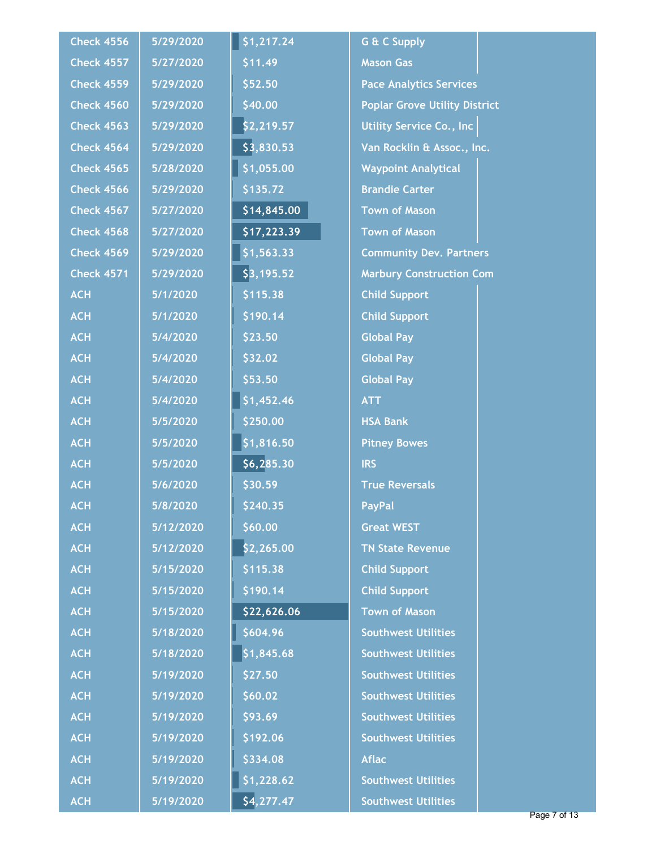| <b>Check 4556</b> | 5/29/2020 | \$1,217.24  | <b>G &amp; C Supply</b>              |  |
|-------------------|-----------|-------------|--------------------------------------|--|
| <b>Check 4557</b> | 5/27/2020 | \$11.49     | <b>Mason Gas</b>                     |  |
| <b>Check 4559</b> | 5/29/2020 | \$52.50     | <b>Pace Analytics Services</b>       |  |
| <b>Check 4560</b> | 5/29/2020 | \$40.00     | <b>Poplar Grove Utility District</b> |  |
| <b>Check 4563</b> | 5/29/2020 | \$2,219.57  | <b>Utility Service Co., Inc.</b>     |  |
| <b>Check 4564</b> | 5/29/2020 | \$3,830.53  | Van Rocklin & Assoc., Inc.           |  |
| <b>Check 4565</b> | 5/28/2020 | \$1,055.00  | <b>Waypoint Analytical</b>           |  |
| <b>Check 4566</b> | 5/29/2020 | \$135.72    | <b>Brandie Carter</b>                |  |
| <b>Check 4567</b> | 5/27/2020 | \$14,845.00 | <b>Town of Mason</b>                 |  |
| <b>Check 4568</b> | 5/27/2020 | \$17,223.39 | <b>Town of Mason</b>                 |  |
| <b>Check 4569</b> | 5/29/2020 | \$1,563.33  | <b>Community Dev. Partners</b>       |  |
| <b>Check 4571</b> | 5/29/2020 | \$3,195.52  | <b>Marbury Construction Com</b>      |  |
| <b>ACH</b>        | 5/1/2020  | \$115.38    | <b>Child Support</b>                 |  |
| <b>ACH</b>        | 5/1/2020  | \$190.14    | <b>Child Support</b>                 |  |
| <b>ACH</b>        | 5/4/2020  | \$23.50     | <b>Global Pay</b>                    |  |
| <b>ACH</b>        | 5/4/2020  | \$32.02     | <b>Global Pay</b>                    |  |
| <b>ACH</b>        | 5/4/2020  | \$53.50     | <b>Global Pay</b>                    |  |
| <b>ACH</b>        | 5/4/2020  | \$1,452.46  | <b>ATT</b>                           |  |
| <b>ACH</b>        | 5/5/2020  | \$250.00    | <b>HSA Bank</b>                      |  |
| <b>ACH</b>        | 5/5/2020  | \$1,816.50  | <b>Pitney Bowes</b>                  |  |
| <b>ACH</b>        | 5/5/2020  | \$6,285.30  | <b>IRS</b>                           |  |
| <b>ACH</b>        | 5/6/2020  | \$30.59     | <b>True Reversals</b>                |  |
| <b>ACH</b>        | 5/8/2020  | \$240.35    | <b>PayPal</b>                        |  |
| <b>ACH</b>        | 5/12/2020 | \$60.00     | <b>Great WEST</b>                    |  |
| <b>ACH</b>        | 5/12/2020 | \$2,265.00  | <b>TN State Revenue</b>              |  |
| <b>ACH</b>        | 5/15/2020 | \$115.38    | <b>Child Support</b>                 |  |
| <b>ACH</b>        | 5/15/2020 | \$190.14    | <b>Child Support</b>                 |  |
| <b>ACH</b>        | 5/15/2020 | \$22,626.06 | <b>Town of Mason</b>                 |  |
| <b>ACH</b>        | 5/18/2020 | \$604.96    | <b>Southwest Utilities</b>           |  |
| <b>ACH</b>        | 5/18/2020 | 51,845.68   | <b>Southwest Utilities</b>           |  |
| <b>ACH</b>        | 5/19/2020 | \$27.50     | <b>Southwest Utilities</b>           |  |
| <b>ACH</b>        | 5/19/2020 | \$60.02     | <b>Southwest Utilities</b>           |  |
| <b>ACH</b>        | 5/19/2020 | \$93.69     | <b>Southwest Utilities</b>           |  |
| <b>ACH</b>        | 5/19/2020 | \$192.06    | <b>Southwest Utilities</b>           |  |
| <b>ACH</b>        | 5/19/2020 | \$334.08    | <b>Aflac</b>                         |  |
| <b>ACH</b>        | 5/19/2020 | \$1,228.62  | <b>Southwest Utilities</b>           |  |
| <b>ACH</b>        | 5/19/2020 | \$4,277.47  | <b>Southwest Utilities</b>           |  |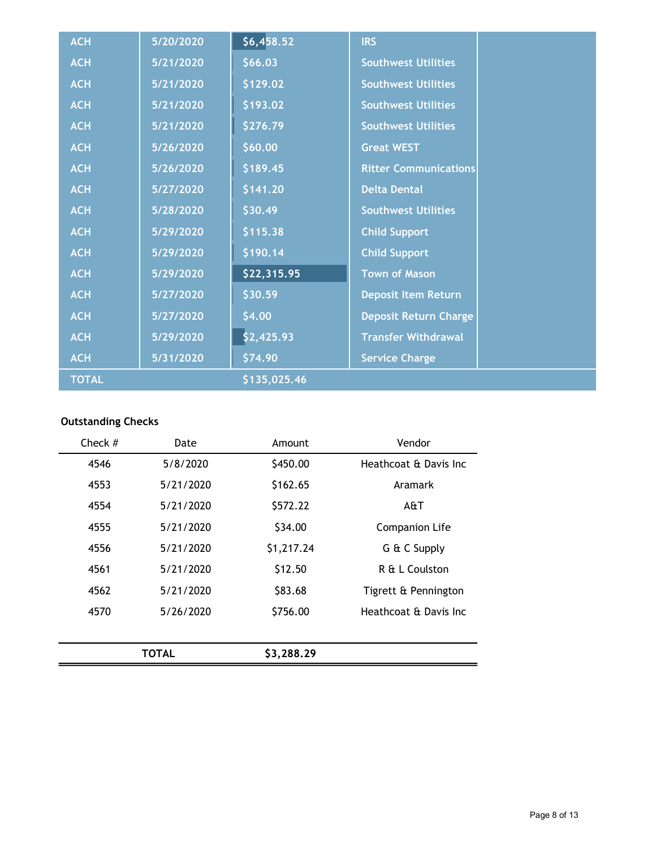| <b>ACH</b>   | 5/20/2020 | \$6,458.52   | <b>IRS</b>                   |  |
|--------------|-----------|--------------|------------------------------|--|
| <b>ACH</b>   | 5/21/2020 | \$66.03      | <b>Southwest Utilities</b>   |  |
| <b>ACH</b>   | 5/21/2020 | \$129.02     | <b>Southwest Utilities</b>   |  |
| <b>ACH</b>   | 5/21/2020 | \$193.02     | <b>Southwest Utilities</b>   |  |
| <b>ACH</b>   | 5/21/2020 | \$276.79     | <b>Southwest Utilities</b>   |  |
| <b>ACH</b>   | 5/26/2020 | \$60.00      | <b>Great WEST</b>            |  |
| <b>ACH</b>   | 5/26/2020 | \$189.45     | <b>Ritter Communications</b> |  |
| <b>ACH</b>   | 5/27/2020 | \$141.20     | <b>Delta Dental</b>          |  |
| <b>ACH</b>   | 5/28/2020 | \$30.49      | <b>Southwest Utilities</b>   |  |
| <b>ACH</b>   | 5/29/2020 | \$115.38     | <b>Child Support</b>         |  |
| <b>ACH</b>   | 5/29/2020 | \$190.14     | <b>Child Support</b>         |  |
| <b>ACH</b>   | 5/29/2020 | \$22,315.95  | <b>Town of Mason</b>         |  |
| <b>ACH</b>   | 5/27/2020 | \$30.59      | <b>Deposit Item Return</b>   |  |
| <b>ACH</b>   | 5/27/2020 | \$4.00       | Deposit Return Charge        |  |
| <b>ACH</b>   | 5/29/2020 | \$2,425.93   | <b>Transfer Withdrawal</b>   |  |
| <b>ACH</b>   | 5/31/2020 | \$74.90      | <b>Service Charge</b>        |  |
| <b>TOTAL</b> |           | \$135,025.46 |                              |  |

#### Outstanding Checks

| Check $#$ | Date         | Amount     | Vendor                 |
|-----------|--------------|------------|------------------------|
| 4546      | 5/8/2020     | \$450.00   | Heathcoat & Davis Inc  |
| 4553      | 5/21/2020    | \$162.65   | Aramark                |
| 4554      | 5/21/2020    | \$572.22   | A&T                    |
| 4555      | 5/21/2020    | \$34.00    | <b>Companion Life</b>  |
| 4556      | 5/21/2020    | \$1,217.24 | G & C Supply           |
| 4561      | 5/21/2020    | \$12.50    | R & L Coulston         |
| 4562      | 5/21/2020    | \$83.68    | Tigrett & Pennington   |
| 4570      | 5/26/2020    | \$756.00   | Heathcoat & Davis Inc. |
|           |              |            |                        |
|           | <b>TOTAL</b> | \$3,288.29 |                        |
|           |              |            |                        |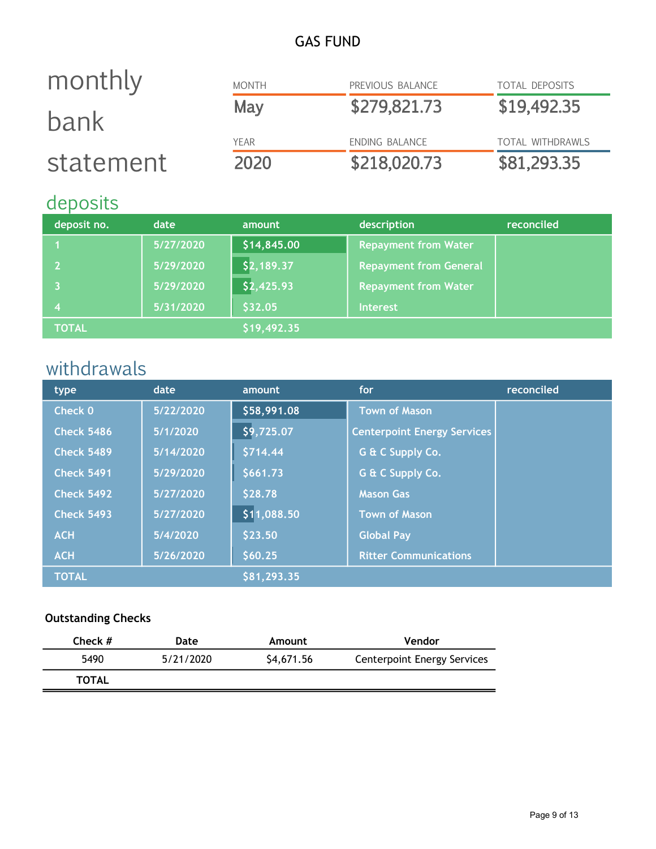### GAS FUND

| monthly   | <b>MONTH</b> | PREVIOUS BALANCE | <b>TOTAL DEPOSITS</b>   |
|-----------|--------------|------------------|-------------------------|
| bank      | May          | \$279,821.73     | \$19,492.35             |
|           | YEAR         | ENDING BALANCE   | <b>TOTAL WITHDRAWLS</b> |
| statement | 2020         | \$218,020.73     | \$81,293.35             |

### deposits

| deposit no.  | date      | amount      | description                   | reconciled |
|--------------|-----------|-------------|-------------------------------|------------|
|              | 5/27/2020 | \$14,845.00 | <b>Repayment from Water</b>   |            |
|              | 5/29/2020 | \$2,189.37  | <b>Repayment from General</b> |            |
|              | 5/29/2020 | \$2,425.93  | <b>Repayment from Water</b>   |            |
|              | 5/31/2020 | \$32.05     | <b>Interest</b>               |            |
| <b>TOTAL</b> |           | \$19,492.35 |                               |            |

## withdrawals

| type              | date      | amount      | for                                | reconciled |
|-------------------|-----------|-------------|------------------------------------|------------|
| Check 0           | 5/22/2020 | \$58,991.08 | <b>Town of Mason</b>               |            |
| <b>Check 5486</b> | 5/1/2020  | \$9,725.07  | <b>Centerpoint Energy Services</b> |            |
| <b>Check 5489</b> | 5/14/2020 | \$714.44    | G & C Supply Co.                   |            |
| <b>Check 5491</b> | 5/29/2020 | \$661.73    | G & C Supply Co.                   |            |
| Check 5492        | 5/27/2020 | \$28.78     | <b>Mason Gas</b>                   |            |
| <b>Check 5493</b> | 5/27/2020 | \$11,088.50 | <b>Town of Mason</b>               |            |
| <b>ACH</b>        | 5/4/2020  | \$23.50     | <b>Global Pay</b>                  |            |
| <b>ACH</b>        | 5/26/2020 | \$60.25     | <b>Ritter Communications</b>       |            |
| <b>TOTAL</b>      |           | \$81,293.35 |                                    |            |

#### Outstanding Checks

| Check $#$    | Date      | Amount     | Vendor                             |
|--------------|-----------|------------|------------------------------------|
| 5490         | 5/21/2020 | \$4,671.56 | <b>Centerpoint Energy Services</b> |
| <b>TOTAL</b> |           |            |                                    |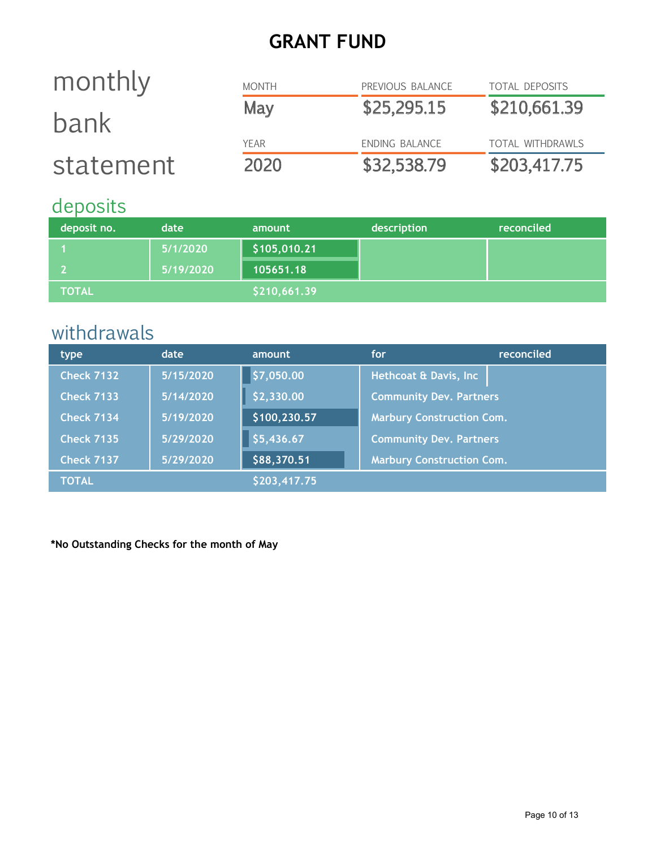## GRANT FUND

#### MONTH PREVIOUS BALANCE TOTAL DEPOSITS May \$25,295.15 \$210,661.39 YEAR ENDING BALANCE TOTAL WITHDRAWLS 2020 \$32,538.79 \$203,417.75 monthly bank statement

### deposits

| deposit no.  | date      | amount       | description | reconciled |
|--------------|-----------|--------------|-------------|------------|
|              | 5/1/2020  | \$105,010.21 |             |            |
|              | 5/19/2020 | 105651.18    |             |            |
| <b>TOTAL</b> |           | \$210,661.39 |             |            |

### withdrawals

| type              | date      | amount       | for                              | reconciled |
|-------------------|-----------|--------------|----------------------------------|------------|
| <b>Check 7132</b> | 5/15/2020 | \$7,050.00   | Hethcoat & Davis, Inc            |            |
| <b>Check 7133</b> | 5/14/2020 | \$2,330.00   | <b>Community Dev. Partners</b>   |            |
| <b>Check 7134</b> | 5/19/2020 | \$100,230.57 | <b>Marbury Construction Com.</b> |            |
| <b>Check 7135</b> | 5/29/2020 | \$5,436.67   | <b>Community Dev. Partners</b>   |            |
| <b>Check 7137</b> | 5/29/2020 | \$88,370.51  | <b>Marbury Construction Com.</b> |            |
| <b>TOTAL</b>      |           | \$203,417.75 |                                  |            |

\*No Outstanding Checks for the month of May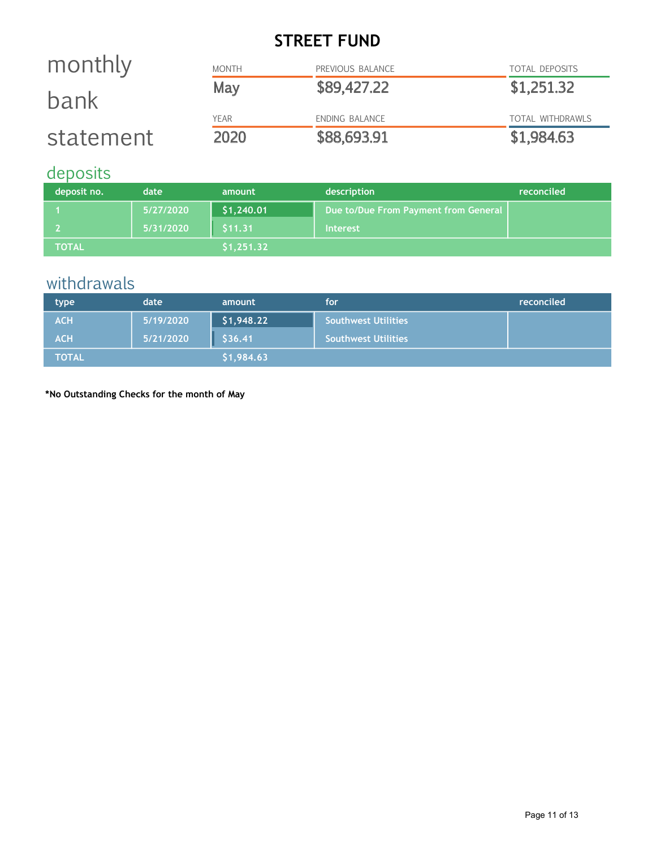### STREET FUND

| statement | 2020         | \$88,693.91      | \$1,984.63              |
|-----------|--------------|------------------|-------------------------|
|           | <b>YEAR</b>  | ENDING BALANCE   | <b>TOTAL WITHDRAWLS</b> |
| bank      | May          | \$89,427.22      | \$1,251.32              |
|           |              |                  |                         |
| monthly   | <b>MONTH</b> | PREVIOUS BALANCE | <b>TOTAL DEPOSITS</b>   |

### deposits

| deposit no.   | date      | amount     | description                          | reconciled |
|---------------|-----------|------------|--------------------------------------|------------|
|               | 5/27/2020 | \$1,240.01 | Due to/Due From Payment from General |            |
|               | 5/31/2020 | \$11.31    | <b>Interest</b>                      |            |
| <b>TOTAL'</b> |           | \$1,251.32 |                                      |            |

### withdrawals

| type         | date      | amount     | <b>for</b>                 | reconciled |
|--------------|-----------|------------|----------------------------|------------|
| <b>ACH</b>   | 5/19/2020 | \$1,948.22 | <b>Southwest Utilities</b> |            |
| <b>ACH</b>   | 5/21/2020 | \$36.41    | Southwest Utilities        |            |
| <b>TOTAL</b> |           | \$1,984.63 |                            |            |

\*No Outstanding Checks for the month of May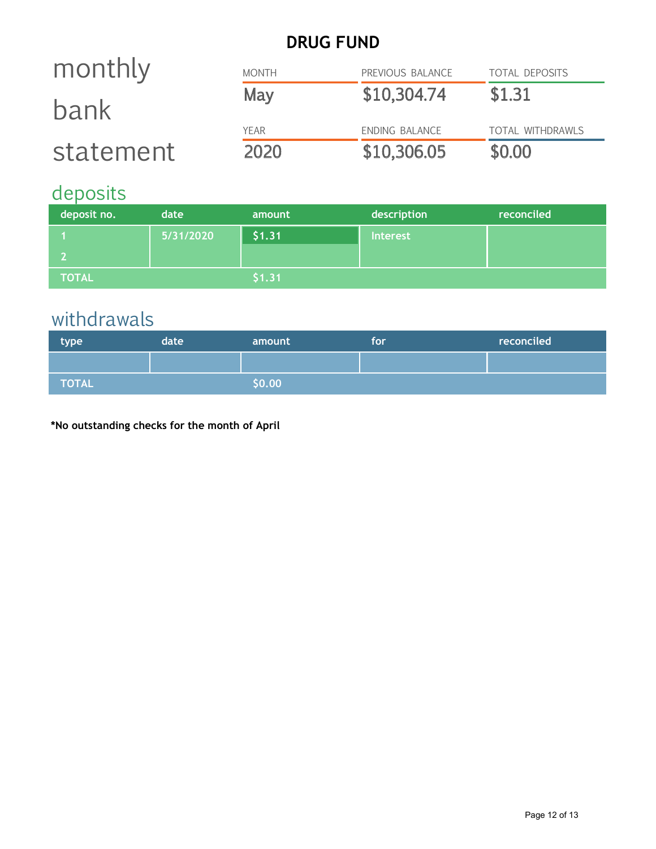### DRUG FUND

| monthly   | <b>MONTH</b> | PREVIOUS BALANCE | <b>TOTAL DEPOSITS</b> |
|-----------|--------------|------------------|-----------------------|
| bank      | May          | \$10,304.74      | \$1.31                |
|           | YFAR         | ENDING BALANCE   | TOTAL WITHDRAWLS      |
| statement | 2020         | \$10,306.05      | \$0.00                |

# deposits

| deposit no.  | date      | amount | description     | reconciled |
|--------------|-----------|--------|-----------------|------------|
|              | 5/31/2020 | \$1.31 | <b>Interest</b> |            |
|              |           |        |                 |            |
| <b>TOTAL</b> |           | \$1.31 |                 |            |

# withdrawals

| type         | date | amount | for | reconciled |
|--------------|------|--------|-----|------------|
|              |      |        |     |            |
| <b>TOTAL</b> |      | \$0.00 |     |            |

\*No outstanding checks for the month of April